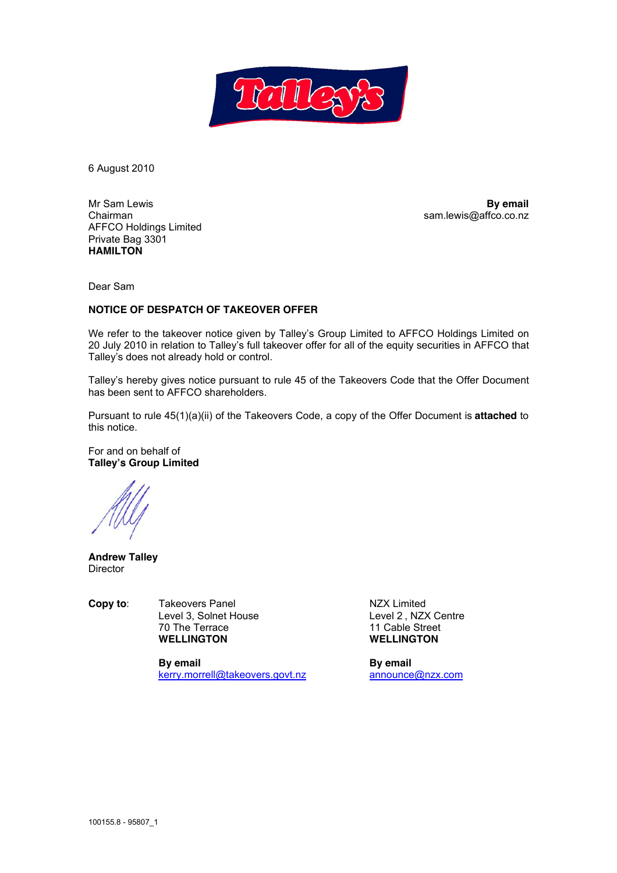

6 August 2010

Mr Sam Lewis **By email** Chairman sam.lewis@affco.co.nz AFFCO Holdings Limited Private Bag 3301 **HAMILTON** 

Dear Sam

## **NOTICE OF DESPATCH OF TAKEOVER OFFER**

We refer to the takeover notice given by Talley's Group Limited to AFFCO Holdings Limited on 20 July 2010 in relation to Talley's full takeover offer for all of the equity securities in AFFCO that Talley's does not already hold or control.

Talley's hereby gives notice pursuant to rule 45 of the Takeovers Code that the Offer Document has been sent to AFFCO shareholders.

Pursuant to rule 45(1)(a)(ii) of the Takeovers Code, a copy of the Offer Document is **attached** to this notice.

For and on behalf of **Talley's Group Limited** 

**Andrew Talley Director** 

**Copy to:** Takeovers Panel **Copy to:** Takeovers Panel **NZX Limited Copy to:** Level 2, NZX Centre Level 3, Solnet House<br>70 The Terrace The Terrace and the Terrace 11 Cable Street<br>
The Terrace and the US of the US of the US of the US of the US of the US of the US of the US of the US of the<br>
The US of the US of the US of the US of the US of the US of the US

> **By email**<br> **Ry email Reflakeovers.govt.nz By email Reflakeovers.govt.nz By email Reflakeovers.govt.nz Reflakeovers.govt.nz Reflakeovers.govt.nz Reflakeovers.govt.nz Reflakeovers.govt.nz** kerry.morrell@takeovers.govt.nz

**WELLINGTON WELLINGTON**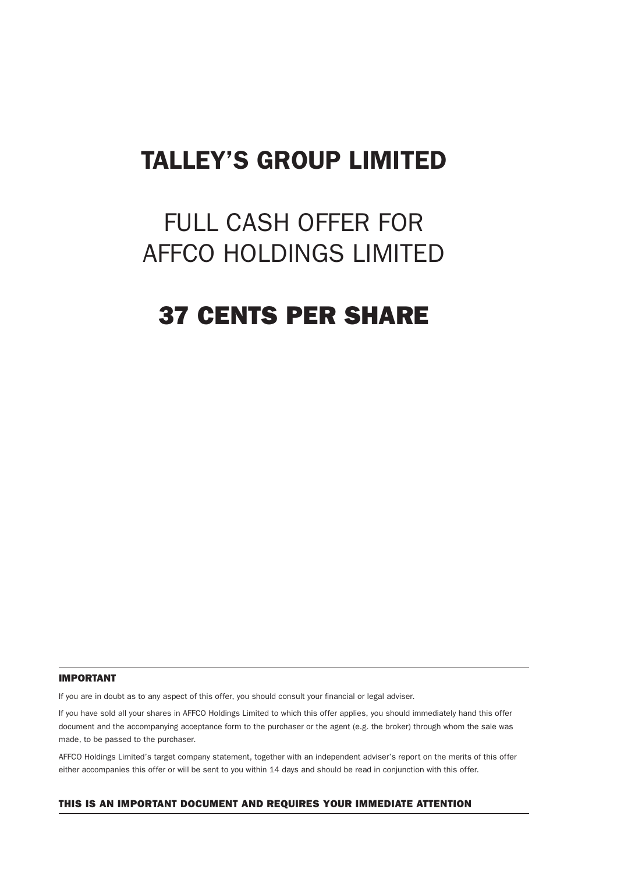# TALLEY'S GROUP LIMITED

# FULL CASH OFFER FOR AFFCO HOLDINGS LIMITED

# 37 CENTS PER SHARE

#### IMPORTANT

If you are in doubt as to any aspect of this offer, you should consult your financial or legal adviser.

If you have sold all your shares in AFFCO Holdings Limited to which this offer applies, you should immediately hand this offer document and the accompanying acceptance form to the purchaser or the agent (e.g. the broker) through whom the sale was made, to be passed to the purchaser.

AFFCO Holdings Limited's target company statement, together with an independent adviser's report on the merits of this offer either accompanies this offer or will be sent to you within 14 days and should be read in conjunction with this offer.

#### THIS IS AN IMPORTANT DOCUMENT AND REQUIRES YOUR IMMEDIATE ATTENTION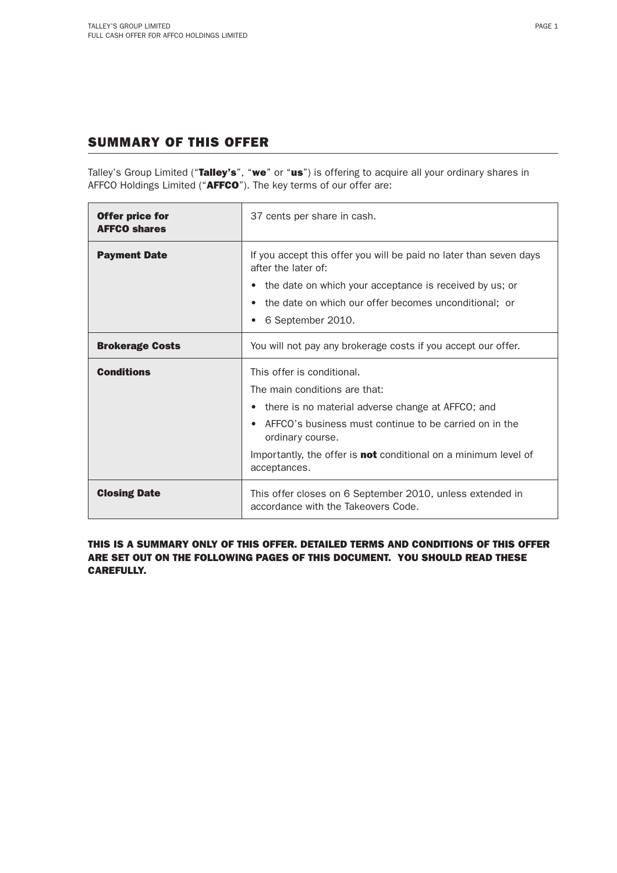# SUMMARY OF THIS OFFER

Talley's Group Limited ("Talley's", "we" or "us") is offering to acquire all your ordinary shares in AFFCO Holdings Limited ("AFFCO"). The key terms of our offer are:

| <b>Offer price for</b><br><b>AFFCO shares</b> | 37 cents per share in cash.                                                                      |  |  |  |
|-----------------------------------------------|--------------------------------------------------------------------------------------------------|--|--|--|
| <b>Payment Date</b>                           | If you accept this offer you will be paid no later than seven days<br>after the later of:        |  |  |  |
|                                               | the date on which your acceptance is received by us; or<br>$\bullet$                             |  |  |  |
|                                               | the date on which our offer becomes unconditional; or                                            |  |  |  |
|                                               | 6 September 2010.<br>٠                                                                           |  |  |  |
| <b>Brokerage Costs</b>                        | You will not pay any brokerage costs if you accept our offer.                                    |  |  |  |
| <b>Conditions</b>                             | This offer is conditional.                                                                       |  |  |  |
|                                               | The main conditions are that:                                                                    |  |  |  |
|                                               | there is no material adverse change at AFFCO; and<br>$\bullet$                                   |  |  |  |
|                                               | AFFCO's business must continue to be carried on in the<br>ordinary course.                       |  |  |  |
|                                               | Importantly, the offer is <b>not</b> conditional on a minimum level of<br>acceptances.           |  |  |  |
| <b>Closing Date</b>                           | This offer closes on 6 September 2010, unless extended in<br>accordance with the Takeovers Code. |  |  |  |

THIS IS A SUMMARY ONLY OF THIS OFFER. DETAILED TERMS AND CONDITIONS OF THIS OFFER ARE SET OUT ON THE FOLLOWING PAGES OF THIS DOCUMENT. YOU SHOULD READ THESE CAREFULLY.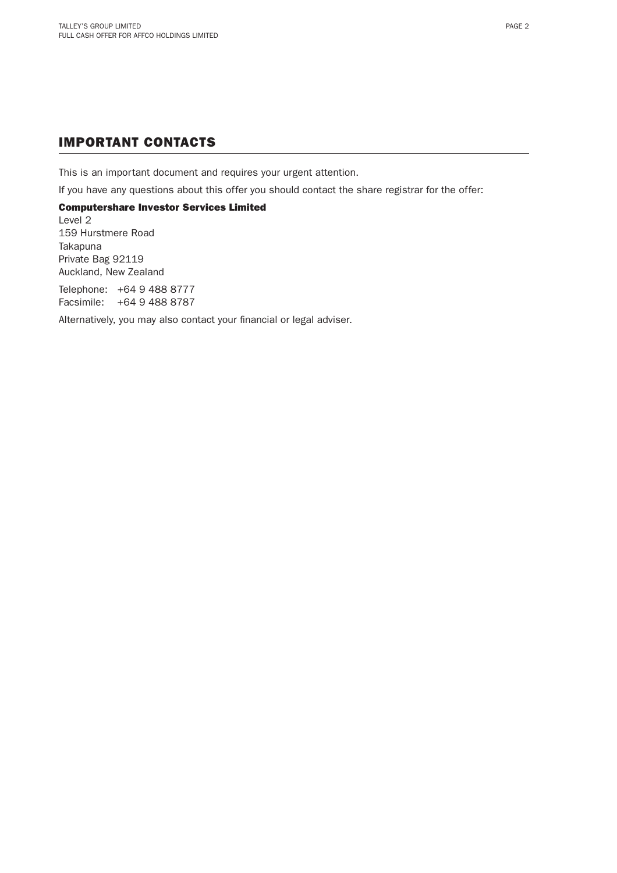# IMPORTANT CONTACTS

This is an important document and requires your urgent attention.

If you have any questions about this offer you should contact the share registrar for the offer:

## Computershare Investor Services Limited

Level 2 159 Hurstmere Road Takapuna Private Bag 92119 Auckland, New Zealand

Telephone: +64 9 488 8777 Facsimile: +64 9 488 8787

Alternatively, you may also contact your financial or legal adviser.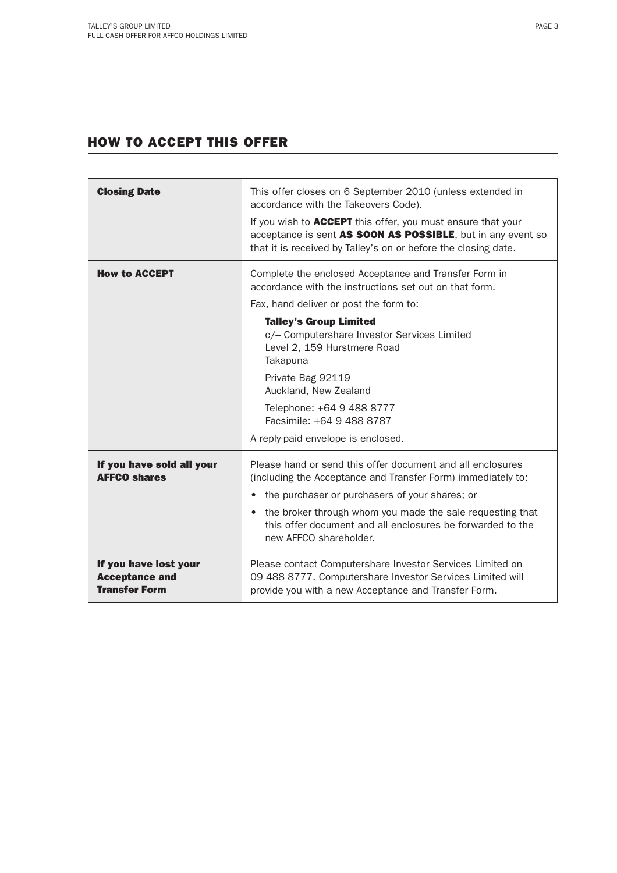# HOW TO ACCEPT THIS OFFER

| <b>Closing Date</b>                                                    | This offer closes on 6 September 2010 (unless extended in<br>accordance with the Takeovers Code).<br>If you wish to <b>ACCEPT</b> this offer, you must ensure that your<br>acceptance is sent AS SOON AS POSSIBLE, but in any event so<br>that it is received by Talley's on or before the closing date.                                                                                                                           |  |  |
|------------------------------------------------------------------------|------------------------------------------------------------------------------------------------------------------------------------------------------------------------------------------------------------------------------------------------------------------------------------------------------------------------------------------------------------------------------------------------------------------------------------|--|--|
| <b>How to ACCEPT</b>                                                   | Complete the enclosed Acceptance and Transfer Form in<br>accordance with the instructions set out on that form.<br>Fax, hand deliver or post the form to:<br><b>Talley's Group Limited</b><br>c/- Computershare Investor Services Limited<br>Level 2, 159 Hurstmere Road<br>Takapuna<br>Private Bag 92119<br>Auckland, New Zealand<br>Telephone: +64 9 488 8777<br>Facsimile: +64 9 488 8787<br>A reply-paid envelope is enclosed. |  |  |
| If you have sold all your<br><b>AFFCO shares</b>                       | Please hand or send this offer document and all enclosures<br>(including the Acceptance and Transfer Form) immediately to:<br>the purchaser or purchasers of your shares; or<br>the broker through whom you made the sale requesting that<br>this offer document and all enclosures be forwarded to the<br>new AFFCO shareholder.                                                                                                  |  |  |
| If you have lost your<br><b>Acceptance and</b><br><b>Transfer Form</b> | Please contact Computershare Investor Services Limited on<br>09 488 8777. Computershare Investor Services Limited will<br>provide you with a new Acceptance and Transfer Form.                                                                                                                                                                                                                                                     |  |  |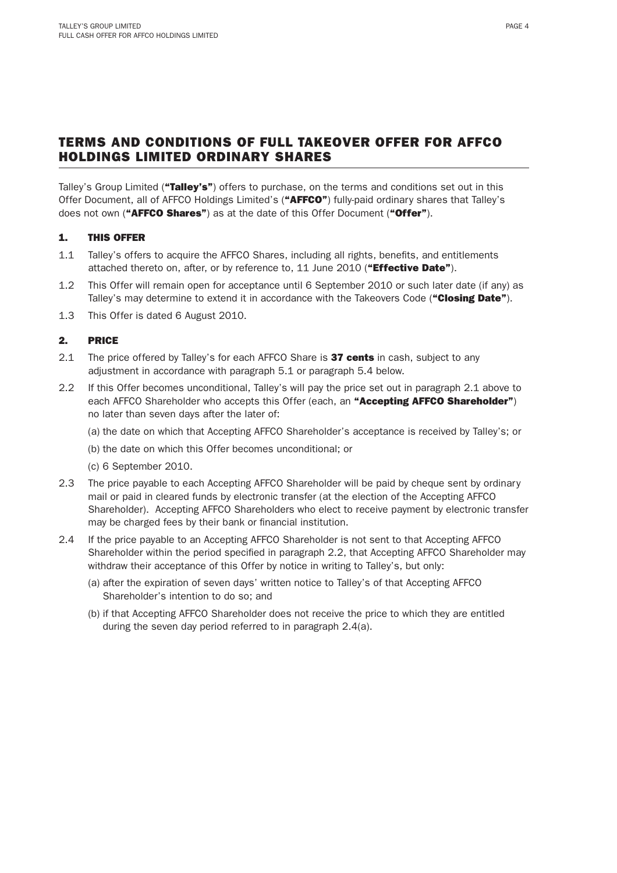Talley's Group Limited ("Talley's") offers to purchase, on the terms and conditions set out in this Offer Document, all of AFFCO Holdings Limited's ("AFFCO") fully-paid ordinary shares that Talley's does not own ("AFFCO Shares") as at the date of this Offer Document ("Offer").

## 1. THIS OFFER

- 1.1 Talley's offers to acquire the AFFCO Shares, including all rights, benefits, and entitlements attached thereto on, after, or by reference to,  $11$  June 2010 ("**Effective Date**").
- 1.2 This Offer will remain open for acceptance until 6 September 2010 or such later date (if any) as Talley's may determine to extend it in accordance with the Takeovers Code ("Closing Date").
- 1.3 This Offer is dated 6 August 2010.

## 2. PRICE

- 2.1 The price offered by Talley's for each AFFCO Share is 37 cents in cash, subject to any adjustment in accordance with paragraph 5.1 or paragraph 5.4 below.
- 2.2 If this Offer becomes unconditional, Talley's will pay the price set out in paragraph 2.1 above to each AFFCO Shareholder who accepts this Offer (each, an "Accepting AFFCO Shareholder") no later than seven days after the later of:
	- (a) the date on which that Accepting AFFCO Shareholder's acceptance is received by Talley's; or
	- (b) the date on which this Offer becomes unconditional; or
	- (c) 6 September 2010.
- 2.3 The price payable to each Accepting AFFCO Shareholder will be paid by cheque sent by ordinary mail or paid in cleared funds by electronic transfer (at the election of the Accepting AFFCO Shareholder). Accepting AFFCO Shareholders who elect to receive payment by electronic transfer may be charged fees by their bank or financial institution.
- 2.4 If the price payable to an Accepting AFFCO Shareholder is not sent to that Accepting AFFCO Shareholder within the period specified in paragraph 2.2, that Accepting AFFCO Shareholder may withdraw their acceptance of this Offer by notice in writing to Talley's, but only:
	- (a) after the expiration of seven days' written notice to Talley's of that Accepting AFFCO Shareholder's intention to do so; and
	- (b) if that Accepting AFFCO Shareholder does not receive the price to which they are entitled during the seven day period referred to in paragraph 2.4(a).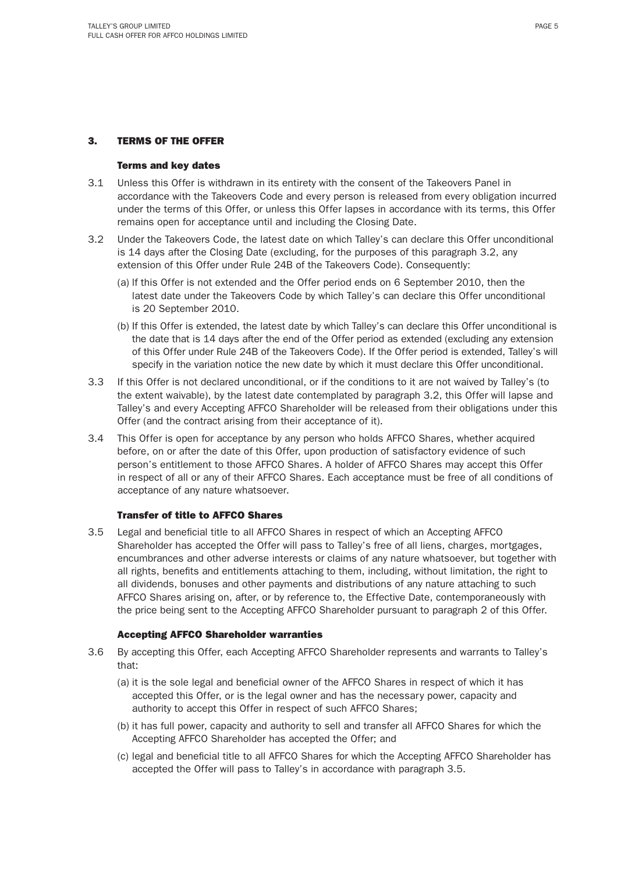### 3. TERMS OF THE OFFER

#### Terms and key dates

- 3.1 Unless this Offer is withdrawn in its entirety with the consent of the Takeovers Panel in accordance with the Takeovers Code and every person is released from every obligation incurred under the terms of this Offer, or unless this Offer lapses in accordance with its terms, this Offer remains open for acceptance until and including the Closing Date.
- 3.2 Under the Takeovers Code, the latest date on which Talley's can declare this Offer unconditional is 14 days after the Closing Date (excluding, for the purposes of this paragraph 3.2, any extension of this Offer under Rule 24B of the Takeovers Code). Consequently:
	- (a) lf this Offer is not extended and the Offer period ends on 6 September 2010, then the latest date under the Takeovers Code by which Talley's can declare this Offer unconditional is 20 September 2010.
	- (b) If this Offer is extended, the latest date by which Talley's can declare this Offer unconditional is the date that is 14 days after the end of the Offer period as extended (excluding any extension of this Offer under Rule 24B of the Takeovers Code). If the Offer period is extended, Talley's will specify in the variation notice the new date by which it must declare this Offer unconditional.
- 3.3 If this Offer is not declared unconditional, or if the conditions to it are not waived by Talley's (to the extent waivable), by the latest date contemplated by paragraph 3.2, this Offer will lapse and Talley's and every Accepting AFFCO Shareholder will be released from their obligations under this Offer (and the contract arising from their acceptance of it).
- 3.4 This Offer is open for acceptance by any person who holds AFFCO Shares, whether acquired before, on or after the date of this Offer, upon production of satisfactory evidence of such person's entitlement to those AFFCO Shares. A holder of AFFCO Shares may accept this Offer in respect of all or any of their AFFCO Shares. Each acceptance must be free of all conditions of acceptance of any nature whatsoever.

#### Transfer of title to AFFCO Shares

3.5 Legal and beneficial title to all AFFCO Shares in respect of which an Accepting AFFCO Shareholder has accepted the Offer will pass to Talley's free of all liens, charges, mortgages, encumbrances and other adverse interests or claims of any nature whatsoever, but together with all rights, benefits and entitlements attaching to them, including, without limitation, the right to all dividends, bonuses and other payments and distributions of any nature attaching to such AFFCO Shares arising on, after, or by reference to, the Effective Date, contemporaneously with the price being sent to the Accepting AFFCO Shareholder pursuant to paragraph 2 of this Offer.

#### Accepting AFFCO Shareholder warranties

- 3.6 By accepting this Offer, each Accepting AFFCO Shareholder represents and warrants to Talley's that:
	- (a) it is the sole legal and beneficial owner of the AFFCO Shares in respect of which it has accepted this Offer, or is the legal owner and has the necessary power, capacity and authority to accept this Offer in respect of such AFFCO Shares;
	- (b) it has full power, capacity and authority to sell and transfer all AFFCO Shares for which the Accepting AFFCO Shareholder has accepted the Offer; and
	- (c) legal and beneficial title to all AFFCO Shares for which the Accepting AFFCO Shareholder has accepted the Offer will pass to Talley's in accordance with paragraph 3.5.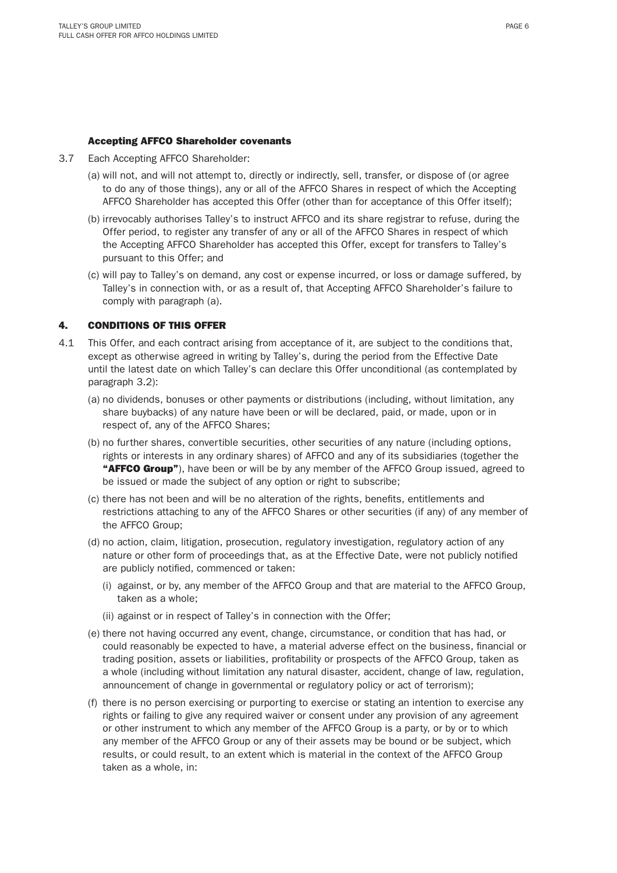#### Accepting AFFCO Shareholder covenants

- 3.7 Each Accepting AFFCO Shareholder:
	- (a) will not, and will not attempt to, directly or indirectly, sell, transfer, or dispose of (or agree to do any of those things), any or all of the AFFCO Shares in respect of which the Accepting AFFCO Shareholder has accepted this Offer (other than for acceptance of this Offer itself);
	- (b) irrevocably authorises Talley's to instruct AFFCO and its share registrar to refuse, during the Offer period, to register any transfer of any or all of the AFFCO Shares in respect of which the Accepting AFFCO Shareholder has accepted this Offer, except for transfers to Talley's pursuant to this Offer; and
	- (c) will pay to Talley's on demand, any cost or expense incurred, or loss or damage suffered, by Talley's in connection with, or as a result of, that Accepting AFFCO Shareholder's failure to comply with paragraph (a).

### 4. CONDITIONS OF THIS OFFER

- 4.1 This Offer, and each contract arising from acceptance of it, are subject to the conditions that, except as otherwise agreed in writing by Talley's, during the period from the Effective Date until the latest date on which Talley's can declare this Offer unconditional (as contemplated by paragraph 3.2):
	- (a) no dividends, bonuses or other payments or distributions (including, without limitation, any share buybacks) of any nature have been or will be declared, paid, or made, upon or in respect of, any of the AFFCO Shares;
	- (b) no further shares, convertible securities, other securities of any nature (including options, rights or interests in any ordinary shares) of AFFCO and any of its subsidiaries (together the "AFFCO Group"), have been or will be by any member of the AFFCO Group issued, agreed to be issued or made the subject of any option or right to subscribe;
	- (c) there has not been and will be no alteration of the rights, benefits, entitlements and restrictions attaching to any of the AFFCO Shares or other securities (if any) of any member of the AFFCO Group;
	- (d) no action, claim, litigation, prosecution, regulatory investigation, regulatory action of any nature or other form of proceedings that, as at the Effective Date, were not publicly notified are publicly notified, commenced or taken:
		- (i) against, or by, any member of the AFFCO Group and that are material to the AFFCO Group, taken as a whole;
		- (ii) against or in respect of Talley's in connection with the Offer;
	- (e) there not having occurred any event, change, circumstance, or condition that has had, or could reasonably be expected to have, a material adverse effect on the business, financial or trading position, assets or liabilities, profitability or prospects of the AFFCO Group, taken as a whole (including without limitation any natural disaster, accident, change of law, regulation, announcement of change in governmental or regulatory policy or act of terrorism);
	- (f) there is no person exercising or purporting to exercise or stating an intention to exercise any rights or failing to give any required waiver or consent under any provision of any agreement or other instrument to which any member of the AFFCO Group is a party, or by or to which any member of the AFFCO Group or any of their assets may be bound or be subject, which results, or could result, to an extent which is material in the context of the AFFCO Group taken as a whole, in: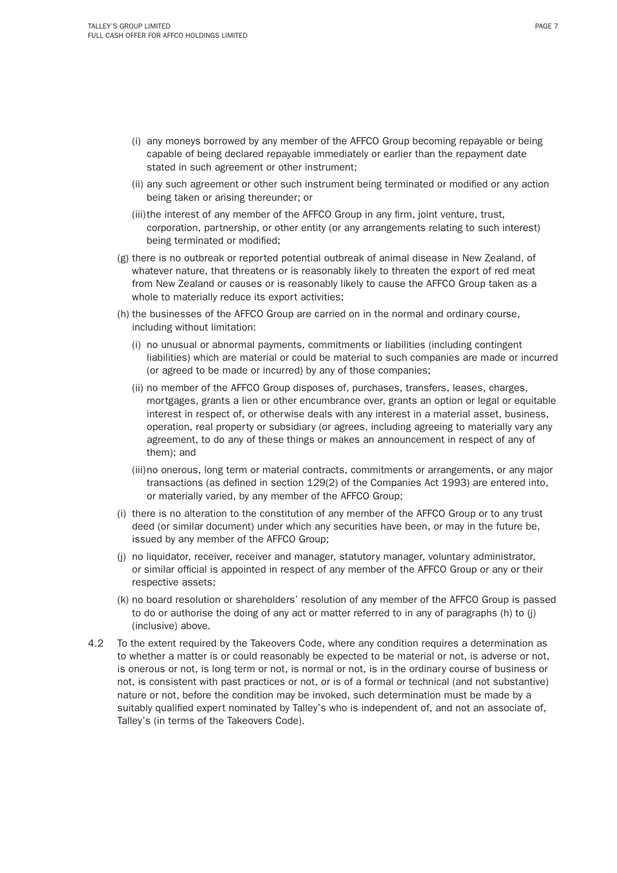- (i) any moneys borrowed by any member of the AFFCO Group becoming repayable or being capable of being declared repayable immediately or earlier than the repayment date stated in such agreement or other instrument;
- (ii) any such agreement or other such instrument being terminated or modified or any action being taken or arising thereunder; or
- (iii) the interest of any member of the AFFCO Group in any firm, joint venture, trust, corporation, partnership, or other entity (or any arrangements relating to such interest) being terminated or modified;
- (g) there is no outbreak or reported potential outbreak of animal disease in New Zealand, of whatever nature, that threatens or is reasonably likely to threaten the export of red meat from New Zealand or causes or is reasonably likely to cause the AFFCO Group taken as a whole to materially reduce its export activities:
- (h) the businesses of the AFFCO Group are carried on in the normal and ordinary course, including without limitation:
	- (i) no unusual or abnormal payments, commitments or liabilities (including contingent liabilities) which are material or could be material to such companies are made or incurred (or agreed to be made or incurred) by any of those companies;
	- (ii) no member of the AFFCO Group disposes of, purchases, transfers, leases, charges, mortgages, grants a lien or other encumbrance over, grants an option or legal or equitable interest in respect of, or otherwise deals with any interest in a material asset, business, operation, real property or subsidiary (or agrees, including agreeing to materially vary any agreement, to do any of these things or makes an announcement in respect of any of them); and
	- (iii) no onerous, long term or material contracts, commitments or arrangements, or any major transactions (as defined in section 129(2) of the Companies Act 1993) are entered into, or materially varied, by any member of the AFFCO Group;
- (i) there is no alteration to the constitution of any member of the AFFCO Group or to any trust deed (or similar document) under which any securities have been, or may in the future be, issued by any member of the AFFCO Group;
- (j) no liquidator, receiver, receiver and manager, statutory manager, voluntary administrator, or similar official is appointed in respect of any member of the AFFCO Group or any or their respective assets;
- (k) no board resolution or shareholders' resolution of any member of the AFFCO Group is passed to do or authorise the doing of any act or matter referred to in any of paragraphs (h) to (j) (inclusive) above.
- 4.2 To the extent required by the Takeovers Code, where any condition requires a determination as to whether a matter is or could reasonably be expected to be material or not, is adverse or not, is onerous or not, is long term or not, is normal or not, is in the ordinary course of business or not, is consistent with past practices or not, or is of a formal or technical (and not substantive) nature or not, before the condition may be invoked, such determination must be made by a suitably qualified expert nominated by Talley's who is independent of, and not an associate of, Talley's (in terms of the Takeovers Code).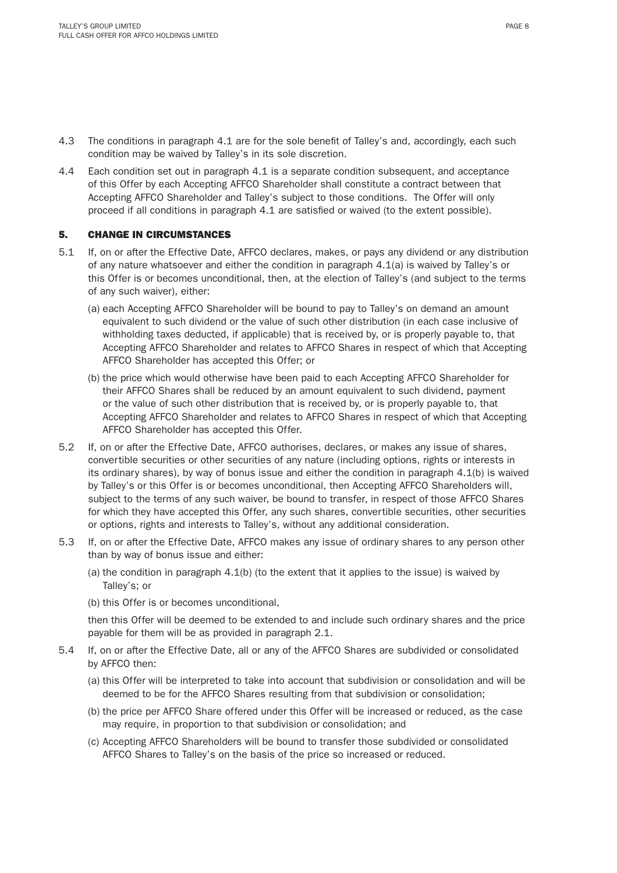- 4.3 The conditions in paragraph 4.1 are for the sole benefit of Talley's and, accordingly, each such condition may be waived by Talley's in its sole discretion.
- 4.4 Each condition set out in paragraph 4.1 is a separate condition subsequent, and acceptance of this Offer by each Accepting AFFCO Shareholder shall constitute a contract between that Accepting AFFCO Shareholder and Talley's subject to those conditions. The Offer will only proceed if all conditions in paragraph 4.1 are satisfied or waived (to the extent possible).

### 5. CHANGE IN CIRCUMSTANCES

- 5.1 If, on or after the Effective Date, AFFCO declares, makes, or pays any dividend or any distribution of any nature whatsoever and either the condition in paragraph 4.1(a) is waived by Talley's or this Offer is or becomes unconditional, then, at the election of Talley's (and subject to the terms of any such waiver), either:
	- (a) each Accepting AFFCO Shareholder will be bound to pay to Talley's on demand an amount equivalent to such dividend or the value of such other distribution (in each case inclusive of withholding taxes deducted, if applicable) that is received by, or is properly payable to, that Accepting AFFCO Shareholder and relates to AFFCO Shares in respect of which that Accepting AFFCO Shareholder has accepted this Offer; or
	- (b) the price which would otherwise have been paid to each Accepting AFFCO Shareholder for their AFFCO Shares shall be reduced by an amount equivalent to such dividend, payment or the value of such other distribution that is received by, or is properly payable to, that Accepting AFFCO Shareholder and relates to AFFCO Shares in respect of which that Accepting AFFCO Shareholder has accepted this Offer.
- 5.2 If, on or after the Effective Date, AFFCO authorises, declares, or makes any issue of shares, convertible securities or other securities of any nature (including options, rights or interests in its ordinary shares), by way of bonus issue and either the condition in paragraph 4.1(b) is waived by Talley's or this Offer is or becomes unconditional, then Accepting AFFCO Shareholders will, subject to the terms of any such waiver, be bound to transfer, in respect of those AFFCO Shares for which they have accepted this Offer, any such shares, convertible securities, other securities or options, rights and interests to Talley's, without any additional consideration.
- 5.3 If, on or after the Effective Date, AFFCO makes any issue of ordinary shares to any person other than by way of bonus issue and either:
	- (a) the condition in paragraph 4.1(b) (to the extent that it applies to the issue) is waived by Talley's; or
	- (b) this Offer is or becomes unconditional,

 then this Offer will be deemed to be extended to and include such ordinary shares and the price payable for them will be as provided in paragraph 2.1.

- 5.4 If, on or after the Effective Date, all or any of the AFFCO Shares are subdivided or consolidated by AFFCO then:
	- (a) this Offer will be interpreted to take into account that subdivision or consolidation and will be deemed to be for the AFFCO Shares resulting from that subdivision or consolidation;
	- (b) the price per AFFCO Share offered under this Offer will be increased or reduced, as the case may require, in proportion to that subdivision or consolidation; and
	- (c) Accepting AFFCO Shareholders will be bound to transfer those subdivided or consolidated AFFCO Shares to Talley's on the basis of the price so increased or reduced.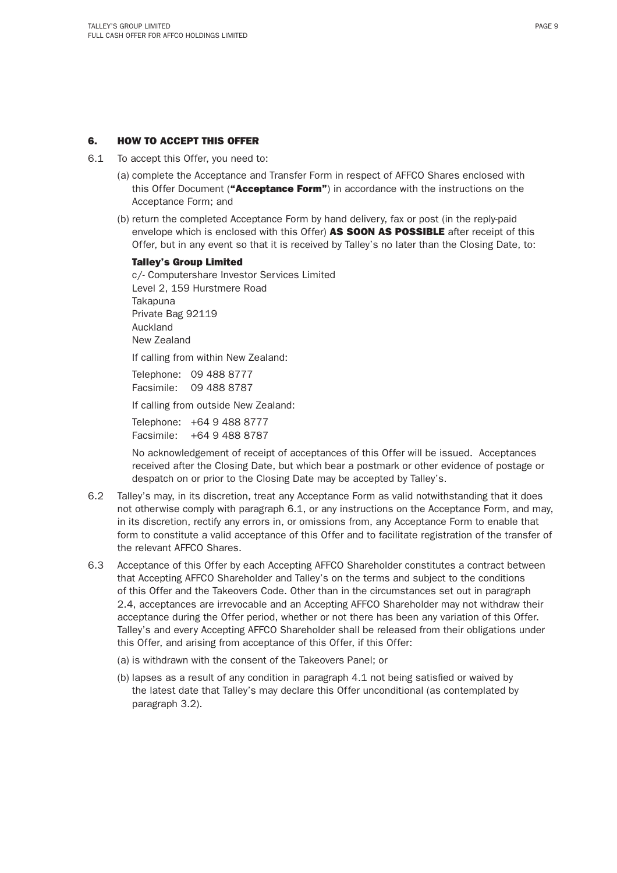### 6. HOW TO ACCEPT THIS OFFER

- 6.1 To accept this Offer, you need to:
	- (a) complete the Acceptance and Transfer Form in respect of AFFCO Shares enclosed with this Offer Document ("Acceptance Form") in accordance with the instructions on the Acceptance Form; and
	- (b) return the completed Acceptance Form by hand delivery, fax or post (in the reply-paid envelope which is enclosed with this Offer) AS SOON AS POSSIBLE after receipt of this Offer, but in any event so that it is received by Talley's no later than the Closing Date, to:

#### Talley's Group Limited

 c/- Computershare Investor Services Limited Level 2, 159 Hurstmere Road Takapuna Private Bag 92119 Auckland New Zealand

If calling from within New Zealand:

 Telephone: 09 488 8777 Facsimile: 09 488 8787

If calling from outside New Zealand:

 Telephone: +64 9 488 8777 Facsimile: +64 9 488 8787

 No acknowledgement of receipt of acceptances of this Offer will be issued. Acceptances received after the Closing Date, but which bear a postmark or other evidence of postage or despatch on or prior to the Closing Date may be accepted by Talley's.

- 6.2 Talley's may, in its discretion, treat any Acceptance Form as valid notwithstanding that it does not otherwise comply with paragraph 6.1, or any instructions on the Acceptance Form, and may, in its discretion, rectify any errors in, or omissions from, any Acceptance Form to enable that form to constitute a valid acceptance of this Offer and to facilitate registration of the transfer of the relevant AFFCO Shares.
- 6.3 Acceptance of this Offer by each Accepting AFFCO Shareholder constitutes a contract between that Accepting AFFCO Shareholder and Talley's on the terms and subject to the conditions of this Offer and the Takeovers Code. Other than in the circumstances set out in paragraph 2.4, acceptances are irrevocable and an Accepting AFFCO Shareholder may not withdraw their acceptance during the Offer period, whether or not there has been any variation of this Offer. Talley's and every Accepting AFFCO Shareholder shall be released from their obligations under this Offer, and arising from acceptance of this Offer, if this Offer:
	- (a) is withdrawn with the consent of the Takeovers Panel; or
	- $(b)$  lapses as a result of any condition in paragraph  $4.1$  not being satisfied or waived by the latest date that Talley's may declare this Offer unconditional (as contemplated by paragraph 3.2).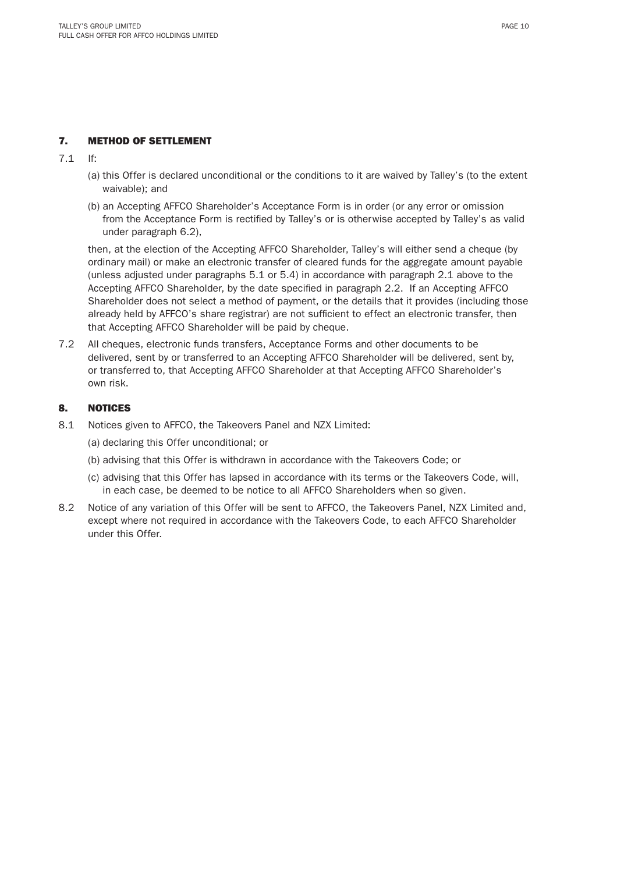## 7. METHOD OF SETTLEMENT

7.1 If:

- (a) this Offer is declared unconditional or the conditions to it are waived by Talley's (to the extent waivable); and
- (b) an Accepting AFFCO Shareholder's Acceptance Form is in order (or any error or omission from the Acceptance Form is rectified by Talley's or is otherwise accepted by Talley's as valid under paragraph 6.2),

 then, at the election of the Accepting AFFCO Shareholder, Talley's will either send a cheque (by ordinary mail) or make an electronic transfer of cleared funds for the aggregate amount payable (unless adjusted under paragraphs 5.1 or 5.4) in accordance with paragraph 2.1 above to the Accepting AFFCO Shareholder, by the date specified in paragraph 2.2. If an Accepting AFFCO Shareholder does not select a method of payment, or the details that it provides (including those already held by AFFCO's share registrar) are not sufficient to effect an electronic transfer, then that Accepting AFFCO Shareholder will be paid by cheque.

7.2 All cheques, electronic funds transfers, Acceptance Forms and other documents to be delivered, sent by or transferred to an Accepting AFFCO Shareholder will be delivered, sent by, or transferred to, that Accepting AFFCO Shareholder at that Accepting AFFCO Shareholder's own risk.

### 8. NOTICES

- 8.1 Notices given to AFFCO, the Takeovers Panel and NZX Limited:
	- (a) declaring this Offer unconditional; or
	- (b) advising that this Offer is withdrawn in accordance with the Takeovers Code; or
	- (c) advising that this Offer has lapsed in accordance with its terms or the Takeovers Code, will, in each case, be deemed to be notice to all AFFCO Shareholders when so given.
- 8.2 Notice of any variation of this Offer will be sent to AFFCO, the Takeovers Panel, NZX Limited and, except where not required in accordance with the Takeovers Code, to each AFFCO Shareholder under this Offer.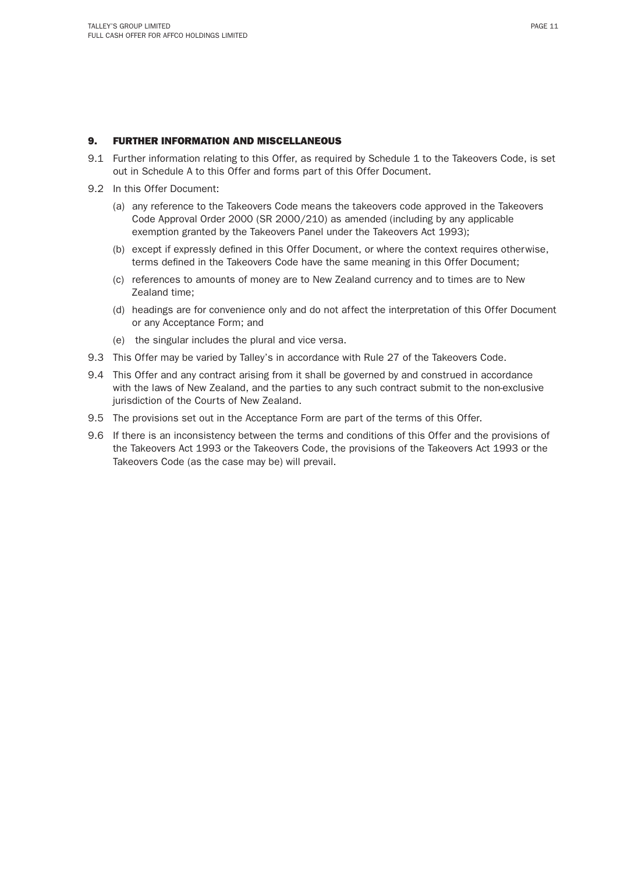### 9. FURTHER INFORMATION AND MISCELLANEOUS

- 9.1 Further information relating to this Offer, as required by Schedule 1 to the Takeovers Code, is set out in Schedule A to this Offer and forms part of this Offer Document.
- 9.2 In this Offer Document:
	- (a) any reference to the Takeovers Code means the takeovers code approved in the Takeovers Code Approval Order 2000 (SR 2000/210) as amended (including by any applicable exemption granted by the Takeovers Panel under the Takeovers Act 1993);
	- (b) except if expressly defined in this Offer Document, or where the context requires otherwise, terms defined in the Takeovers Code have the same meaning in this Offer Document;
	- (c) references to amounts of money are to New Zealand currency and to times are to New Zealand time;
	- (d) headings are for convenience only and do not affect the interpretation of this Offer Document or any Acceptance Form; and
	- (e) the singular includes the plural and vice versa.
- 9.3 This Offer may be varied by Talley's in accordance with Rule 27 of the Takeovers Code.
- 9.4 This Offer and any contract arising from it shall be governed by and construed in accordance with the laws of New Zealand, and the parties to any such contract submit to the non-exclusive jurisdiction of the Courts of New Zealand.
- 9.5 The provisions set out in the Acceptance Form are part of the terms of this Offer.
- 9.6 If there is an inconsistency between the terms and conditions of this Offer and the provisions of the Takeovers Act 1993 or the Takeovers Code, the provisions of the Takeovers Act 1993 or the Takeovers Code (as the case may be) will prevail.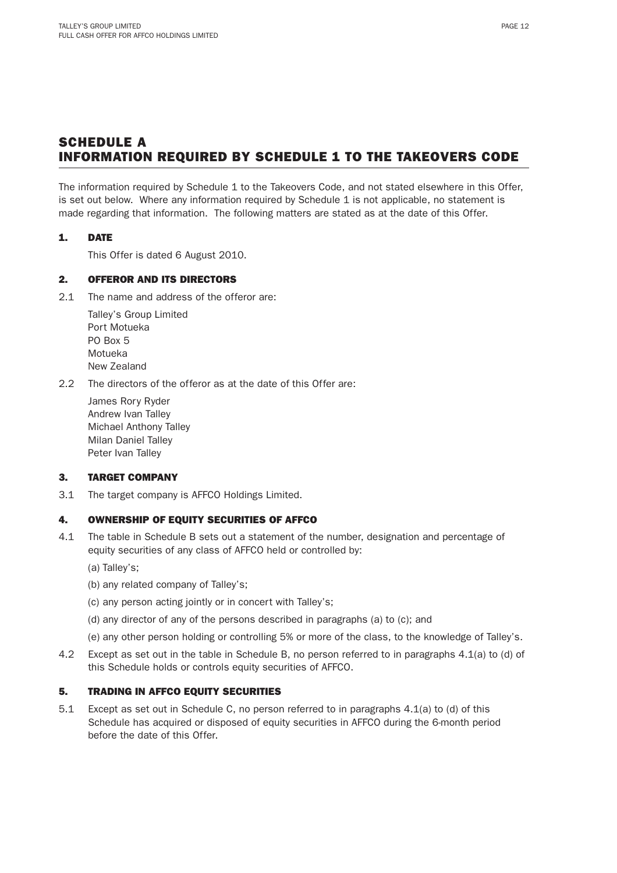# SCHEDULE A INFORMATION REQUIRED BY SCHEDULE 1 TO THE TAKEOVERS CODE

The information required by Schedule 1 to the Takeovers Code, and not stated elsewhere in this Offer, is set out below. Where any information required by Schedule 1 is not applicable, no statement is made regarding that information. The following matters are stated as at the date of this Offer.

### 1. DATE

This Offer is dated 6 August 2010.

## 2. OFFEROR AND ITS DIRECTORS

2.1 The name and address of the offeror are:

 Talley's Group Limited Port Motueka PO Box 5 Motueka New Zealand

2.2 The directors of the offeror as at the date of this Offer are:

 James Rory Ryder Andrew Ivan Talley Michael Anthony Talley Milan Daniel Talley Peter Ivan Talley

#### 3. TARGET COMPANY

3.1 The target company is AFFCO Holdings Limited.

#### 4. OWNERSHIP OF EQUITY SECURITIES OF AFFCO

- 4.1 The table in Schedule B sets out a statement of the number, designation and percentage of equity securities of any class of AFFCO held or controlled by:
	- (a) Talley's;
	- (b) any related company of Talley's;
	- (c) any person acting jointly or in concert with Talley's;
	- (d) any director of any of the persons described in paragraphs (a) to (c); and
	- (e) any other person holding or controlling 5% or more of the class, to the knowledge of Talley's.
- 4.2 Except as set out in the table in Schedule B, no person referred to in paragraphs 4.1(a) to (d) of this Schedule holds or controls equity securities of AFFCO.

## 5. TRADING IN AFFCO EQUITY SECURITIES

5.1 Except as set out in Schedule C, no person referred to in paragraphs 4.1(a) to (d) of this Schedule has acquired or disposed of equity securities in AFFCO during the 6-month period before the date of this Offer.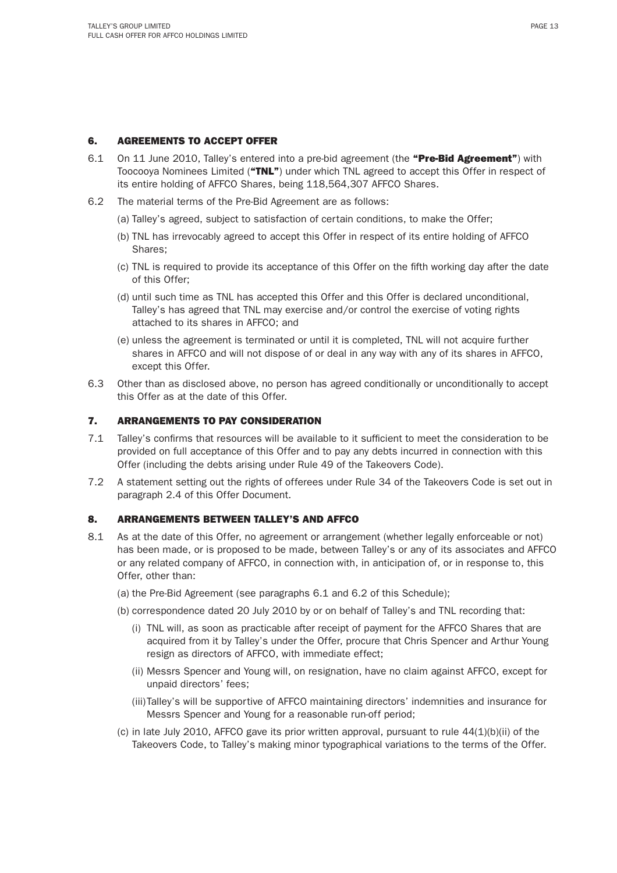## 6. AGREEMENTS TO ACCEPT OFFER

- 6.1 On 11 June 2010, Talley's entered into a pre-bid agreement (the "Pre-Bid Agreement") with Toocooya Nominees Limited ("TNL") under which TNL agreed to accept this Offer in respect of its entire holding of AFFCO Shares, being 118,564,307 AFFCO Shares.
- 6.2 The material terms of the Pre-Bid Agreement are as follows:
	- (a) Talley's agreed, subject to satisfaction of certain conditions, to make the Offer;
	- (b) TNL has irrevocably agreed to accept this Offer in respect of its entire holding of AFFCO Shares;
	- (c) TNL is required to provide its acceptance of this Offer on the fi fth working day after the date of this Offer;
	- (d) until such time as TNL has accepted this Offer and this Offer is declared unconditional, Talley's has agreed that TNL may exercise and/or control the exercise of voting rights attached to its shares in AFFCO; and
	- (e) unless the agreement is terminated or until it is completed, TNL will not acquire further shares in AFFCO and will not dispose of or deal in any way with any of its shares in AFFCO, except this Offer.
- 6.3 Other than as disclosed above, no person has agreed conditionally or unconditionally to accept this Offer as at the date of this Offer.

#### 7. ARRANGEMENTS TO PAY CONSIDERATION

- 7.1 Talley's confirms that resources will be available to it sufficient to meet the consideration to be provided on full acceptance of this Offer and to pay any debts incurred in connection with this Offer (including the debts arising under Rule 49 of the Takeovers Code).
- 7.2 A statement setting out the rights of offerees under Rule 34 of the Takeovers Code is set out in paragraph 2.4 of this Offer Document.

#### 8. ARRANGEMENTS BETWEEN TALLEY'S AND AFFCO

- 8.1 As at the date of this Offer, no agreement or arrangement (whether legally enforceable or not) has been made, or is proposed to be made, between Talley's or any of its associates and AFFCO or any related company of AFFCO, in connection with, in anticipation of, or in response to, this Offer, other than:
	- (a) the Pre-Bid Agreement (see paragraphs 6.1 and 6.2 of this Schedule);
	- (b) correspondence dated 20 July 2010 by or on behalf of Talley's and TNL recording that:
		- (i) TNL will, as soon as practicable after receipt of payment for the AFFCO Shares that are acquired from it by Talley's under the Offer, procure that Chris Spencer and Arthur Young resign as directors of AFFCO, with immediate effect;
		- (ii) Messrs Spencer and Young will, on resignation, have no claim against AFFCO, except for unpaid directors' fees;
		- (iii) Talley's will be supportive of AFFCO maintaining directors' indemnities and insurance for Messrs Spencer and Young for a reasonable run-off period;
	- (c) in late July 2010, AFFCO gave its prior written approval, pursuant to rule  $44(1)(b)(ii)$  of the Takeovers Code, to Talley's making minor typographical variations to the terms of the Offer.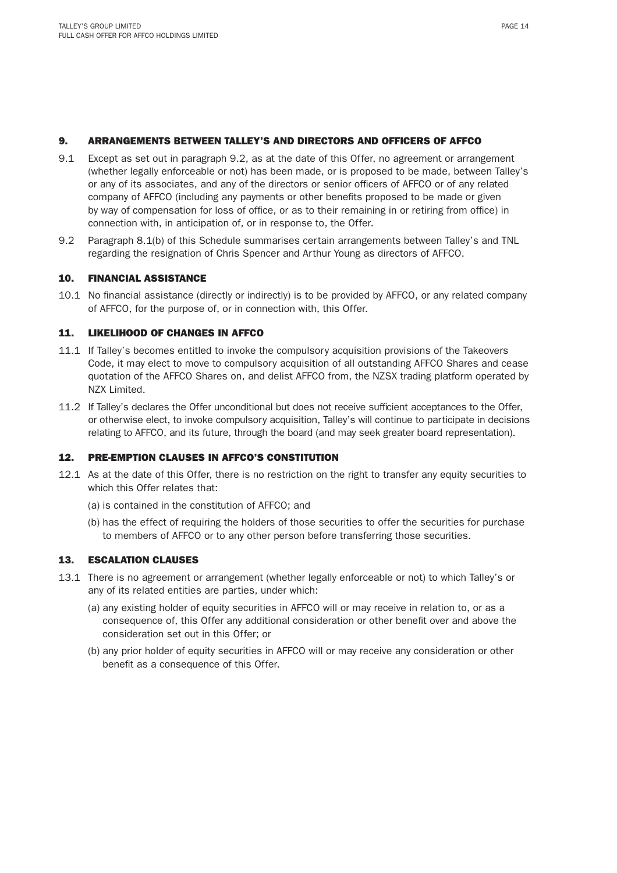#### 9. ARRANGEMENTS BETWEEN TALLEY'S AND DIRECTORS AND OFFICERS OF AFFCO

- 9.1 Except as set out in paragraph 9.2, as at the date of this Offer, no agreement or arrangement (whether legally enforceable or not) has been made, or is proposed to be made, between Talley's or any of its associates, and any of the directors or senior officers of AFFCO or of any related company of AFFCO (including any payments or other benefits proposed to be made or given by way of compensation for loss of office, or as to their remaining in or retiring from office) in connection with, in anticipation of, or in response to, the Offer.
- 9.2 Paragraph 8.1(b) of this Schedule summarises certain arrangements between Talley's and TNL regarding the resignation of Chris Spencer and Arthur Young as directors of AFFCO.

#### 10. FINANCIAL ASSISTANCE

10.1 No financial assistance (directly or indirectly) is to be provided by AFFCO, or any related company of AFFCO, for the purpose of, or in connection with, this Offer.

#### 11. LIKELIHOOD OF CHANGES IN AFFCO

- 11.1 If Talley's becomes entitled to invoke the compulsory acquisition provisions of the Takeovers Code, it may elect to move to compulsory acquisition of all outstanding AFFCO Shares and cease quotation of the AFFCO Shares on, and delist AFFCO from, the NZSX trading platform operated by NZX Limited.
- 11.2 If Talley's declares the Offer unconditional but does not receive sufficient acceptances to the Offer, or otherwise elect, to invoke compulsory acquisition, Talley's will continue to participate in decisions relating to AFFCO, and its future, through the board (and may seek greater board representation).

#### 12. PRE-EMPTION CLAUSES IN AFFCO'S CONSTITUTION

- 12.1 As at the date of this Offer, there is no restriction on the right to transfer any equity securities to which this Offer relates that:
	- (a) is contained in the constitution of AFFCO; and
	- (b) has the effect of requiring the holders of those securities to offer the securities for purchase to members of AFFCO or to any other person before transferring those securities.

### 13. ESCALATION CLAUSES

- 13.1 There is no agreement or arrangement (whether legally enforceable or not) to which Talley's or any of its related entities are parties, under which:
	- (a) any existing holder of equity securities in AFFCO will or may receive in relation to, or as a consequence of, this Offer any additional consideration or other benefit over and above the consideration set out in this Offer; or
	- (b) any prior holder of equity securities in AFFCO will or may receive any consideration or other benefit as a consequence of this Offer.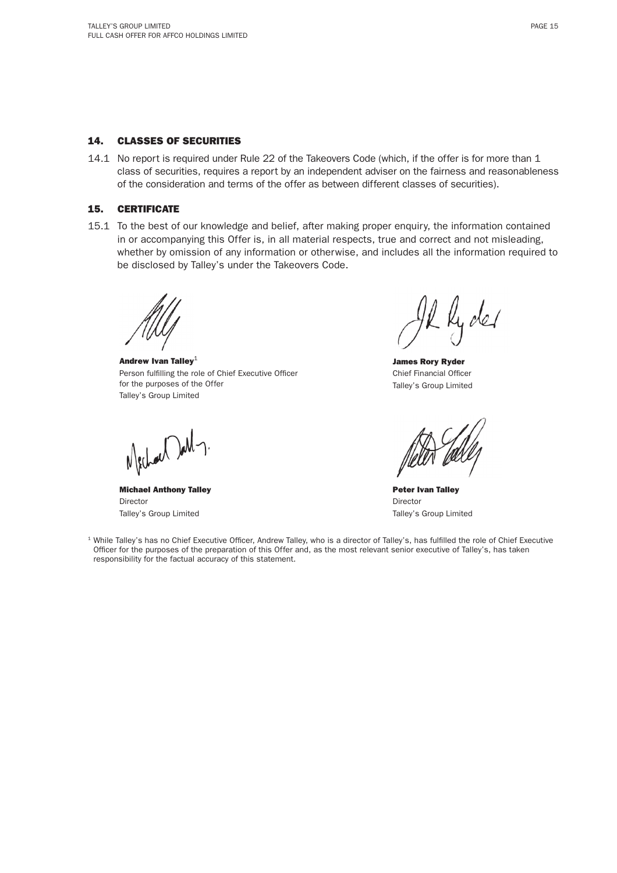#### 14. CLASSES OF SECURITIES

14.1 No report is required under Rule 22 of the Takeovers Code (which, if the offer is for more than 1 class of securities, requires a report by an independent adviser on the fairness and reasonableness of the consideration and terms of the offer as between different classes of securities).

## 15. CERTIFICATE

15.1 To the best of our knowledge and belief, after making proper enquiry, the information contained in or accompanying this Offer is, in all material respects, true and correct and not misleading, whether by omission of any information or otherwise, and includes all the information required to be disclosed by Talley's under the Takeovers Code.

Andrew Ivan Talley $1$ Person fulfilling the role of Chief Executive Officer for the purposes of the Offer Talley's Group Limited

Mechael Dall-

Michael Anthony Talley Director Talley's Group Limited

Il lyder

James Rory Ryder Chief Financial Officer Talley's Group Limited

Peter Ivan Talley Director Talley's Group Limited

<sup>1</sup> While Talley's has no Chief Executive Officer, Andrew Talley, who is a director of Talley's, has fulfilled the role of Chief Executive Officer for the purposes of the preparation of this Offer and, as the most relevant senior executive of Talley's, has taken responsibility for the factual accuracy of this statement.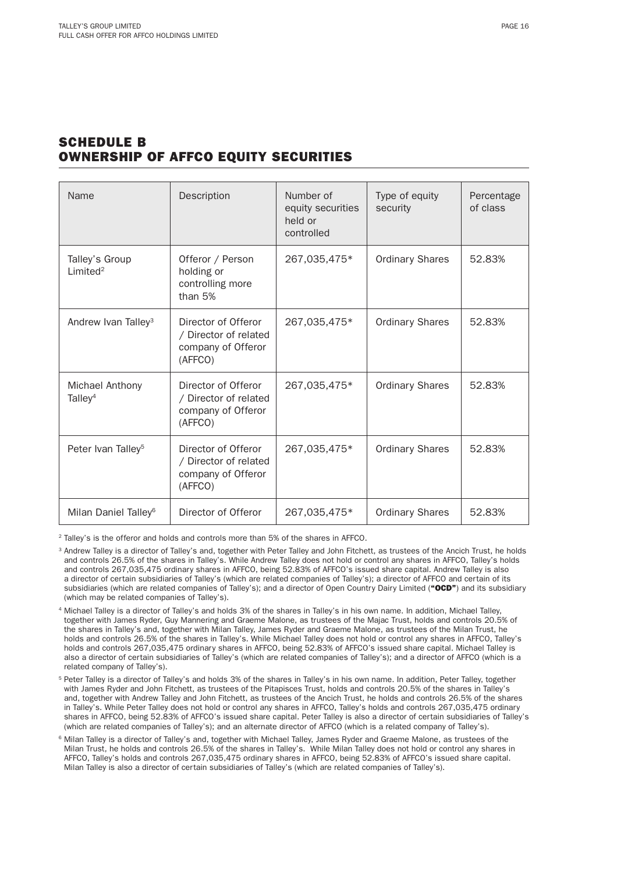# SCHEDULE B OWNERSHIP OF AFFCO EQUITY SECURITIES

| Name                                   | Description                                                                   | Number of<br>equity securities<br>held or<br>controlled | Type of equity<br>security | Percentage<br>of class |
|----------------------------------------|-------------------------------------------------------------------------------|---------------------------------------------------------|----------------------------|------------------------|
| Talley's Group<br>Limited <sup>2</sup> | Offeror / Person<br>holding or<br>controlling more<br>than 5%                 | 267,035,475*                                            | <b>Ordinary Shares</b>     | 52.83%                 |
| Andrew Ivan Talley <sup>3</sup>        | Director of Offeror<br>/ Director of related<br>company of Offeror<br>(AFFCO) | 267,035,475*                                            | <b>Ordinary Shares</b>     | 52.83%                 |
| Michael Anthony<br>Talley <sup>4</sup> | Director of Offeror<br>/ Director of related<br>company of Offeror<br>(AFFCO) | 267,035,475*                                            | <b>Ordinary Shares</b>     | 52.83%                 |
| Peter Ivan Talley <sup>5</sup>         | Director of Offeror<br>/ Director of related<br>company of Offeror<br>(AFFCO) | 267,035,475*                                            | <b>Ordinary Shares</b>     | 52.83%                 |
| Milan Daniel Talley <sup>6</sup>       | Director of Offeror                                                           | 267,035,475*                                            | <b>Ordinary Shares</b>     | 52.83%                 |

2 Talley's is the offeror and holds and controls more than 5% of the shares in AFFCO.

- 4 Michael Talley is a director of Talley's and holds 3% of the shares in Talley's in his own name. In addition, Michael Talley, together with James Ryder, Guy Mannering and Graeme Malone, as trustees of the Majac Trust, holds and controls 20.5% of the shares in Talley's and, together with Milan Talley, James Ryder and Graeme Malone, as trustees of the Milan Trust, he holds and controls 26.5% of the shares in Talley's. While Michael Talley does not hold or control any shares in AFFCO, Talley's holds and controls 267,035,475 ordinary shares in AFFCO, being 52.83% of AFFCO's issued share capital. Michael Talley is also a director of certain subsidiaries of Talley's (which are related companies of Talley's); and a director of AFFCO (which is a related company of Talley's).
- <sup>5</sup> Peter Talley is a director of Talley's and holds 3% of the shares in Talley's in his own name. In addition, Peter Talley, together with James Ryder and John Fitchett, as trustees of the Pitapisces Trust, holds and controls 20.5% of the shares in Talley's and, together with Andrew Talley and John Fitchett, as trustees of the Ancich Trust, he holds and controls 26.5% of the shares in Talley's. While Peter Talley does not hold or control any shares in AFFCO, Talley's holds and controls 267,035,475 ordinary shares in AFFCO, being 52.83% of AFFCO's issued share capital. Peter Talley is also a director of certain subsidiaries of Talley's (which are related companies of Talley's); and an alternate director of AFFCO (which is a related company of Talley's).
- <sup>6</sup> Milan Talley is a director of Talley's and, together with Michael Talley, James Ryder and Graeme Malone, as trustees of the Milan Trust, he holds and controls 26.5% of the shares in Talley's. While Milan Talley does not hold or control any shares in AFFCO, Talley's holds and controls 267,035,475 ordinary shares in AFFCO, being 52.83% of AFFCO's issued share capital. Milan Talley is also a director of certain subsidiaries of Talley's (which are related companies of Talley's).

<sup>&</sup>lt;sup>3</sup> Andrew Talley is a director of Talley's and, together with Peter Talley and John Fitchett, as trustees of the Ancich Trust, he holds and controls 26.5% of the shares in Talley's. While Andrew Talley does not hold or control any shares in AFFCO, Talley's holds and controls 267,035,475 ordinary shares in AFFCO, being 52.83% of AFFCO's issued share capital. Andrew Talley is also a director of certain subsidiaries of Talley's (which are related companies of Talley's); a director of AFFCO and certain of its subsidiaries (which are related companies of Talley's); and a director of Open Country Dairy Limited ("OCD") and its subsidiary (which may be related companies of Talley's).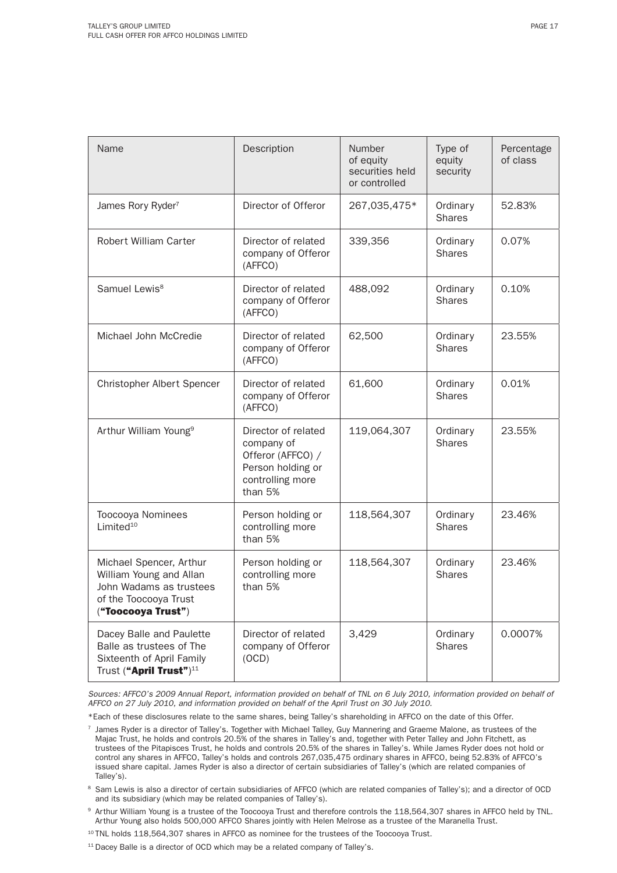| Name                                                                                                                         | Description                                                                                                | <b>Number</b><br>of equity<br>securities held<br>or controlled | Type of<br>equity<br>security | Percentage<br>of class |
|------------------------------------------------------------------------------------------------------------------------------|------------------------------------------------------------------------------------------------------------|----------------------------------------------------------------|-------------------------------|------------------------|
| James Rory Ryder <sup>7</sup>                                                                                                | Director of Offeror                                                                                        | 267,035,475*                                                   | Ordinary<br><b>Shares</b>     | 52.83%                 |
| <b>Robert William Carter</b>                                                                                                 | Director of related<br>company of Offeror<br>(AFFCO)                                                       | 339,356                                                        | Ordinary<br><b>Shares</b>     | 0.07%                  |
| Samuel Lewis <sup>8</sup>                                                                                                    | Director of related<br>company of Offeror<br>(AFFCO)                                                       | 488,092                                                        | Ordinary<br><b>Shares</b>     | 0.10%                  |
| Michael John McCredie                                                                                                        | Director of related<br>company of Offeror<br>(AFFCO)                                                       | 62,500                                                         | Ordinary<br><b>Shares</b>     | 23.55%                 |
| Christopher Albert Spencer                                                                                                   | Director of related<br>company of Offeror<br>(AFFCO)                                                       | 61,600                                                         | Ordinary<br><b>Shares</b>     | 0.01%                  |
| Arthur William Young <sup>9</sup>                                                                                            | Director of related<br>company of<br>Offeror (AFFCO) /<br>Person holding or<br>controlling more<br>than 5% | 119,064,307                                                    | Ordinary<br><b>Shares</b>     | 23.55%                 |
| Toocooya Nominees<br>Limited <sup>10</sup>                                                                                   | Person holding or<br>controlling more<br>than 5%                                                           | 118,564,307                                                    | Ordinary<br><b>Shares</b>     | 23.46%                 |
| Michael Spencer, Arthur<br>William Young and Allan<br>John Wadams as trustees<br>of the Toocooya Trust<br>("Toocooya Trust") | Person holding or<br>controlling more<br>than 5%                                                           | 118,564,307                                                    | Ordinary<br><b>Shares</b>     | 23.46%                 |
| Dacey Balle and Paulette<br>Balle as trustees of The<br>Sixteenth of April Family<br>Trust ("April Trust") <sup>11</sup>     | Director of related<br>company of Offeror<br>(OCD)                                                         | 3,429                                                          | Ordinary<br><b>Shares</b>     | 0.0007%                |

Sources: AFFCO's 2009 Annual Report, information provided on behalf of TNL on 6 July 2010, information provided on behalf of AFFCO on 27 July 2010, and information provided on behalf of the April Trust on 30 July 2010.

\*Each of these disclosures relate to the same shares, being Talley's shareholding in AFFCO on the date of this Offer.

- $7$  James Ryder is a director of Talley's. Together with Michael Talley, Guy Mannering and Graeme Malone, as trustees of the Majac Trust, he holds and controls 20.5% of the shares in Talley's and, together with Peter Talley and John Fitchett, as trustees of the Pitapisces Trust, he holds and controls 20.5% of the shares in Talley's. While James Ryder does not hold or control any shares in AFFCO, Talley's holds and controls 267,035,475 ordinary shares in AFFCO, being 52.83% of AFFCO's issued share capital. James Ryder is also a director of certain subsidiaries of Talley's (which are related companies of Talley's).
- <sup>8</sup> Sam Lewis is also a director of certain subsidiaries of AFFCO (which are related companies of Talley's); and a director of OCD and its subsidiary (which may be related companies of Talley's).
- 9 Arthur William Young is a trustee of the Toocooya Trust and therefore controls the 118,564,307 shares in AFFCO held by TNL. Arthur Young also holds 500,000 AFFCO Shares jointly with Helen Melrose as a trustee of the Maranella Trust.
- <sup>10</sup> TNL holds 118,564,307 shares in AFFCO as nominee for the trustees of the Toocooya Trust.
- <sup>11</sup> Dacey Balle is a director of OCD which may be a related company of Talley's.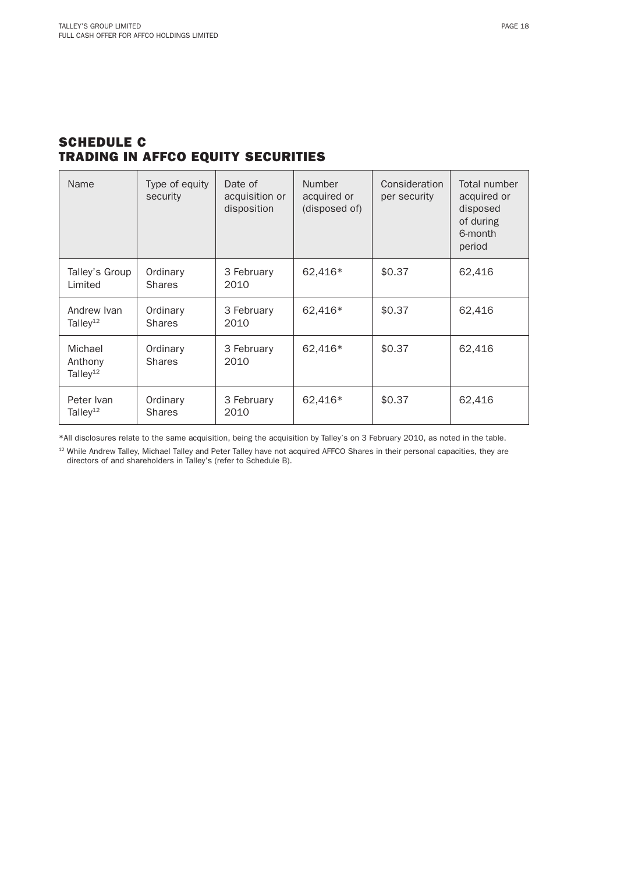# SCHEDULE C TRADING IN AFFCO EQUITY SECURITIES

| Name                                       | Type of equity<br>security | Date of<br>acquisition or<br>disposition | <b>Number</b><br>acquired or<br>(disposed of) | Consideration<br>per security | Total number<br>acquired or<br>disposed<br>of during<br>6-month<br>period |
|--------------------------------------------|----------------------------|------------------------------------------|-----------------------------------------------|-------------------------------|---------------------------------------------------------------------------|
| Talley's Group<br>Limited                  | Ordinary<br><b>Shares</b>  | 3 February<br>2010                       | 62,416*                                       | \$0.37                        | 62,416                                                                    |
| Andrew Ivan<br>Talley <sup>12</sup>        | Ordinary<br><b>Shares</b>  | 3 February<br>2010                       | 62,416*                                       | \$0.37                        | 62,416                                                                    |
| Michael<br>Anthony<br>Talley <sup>12</sup> | Ordinary<br><b>Shares</b>  | 3 February<br>2010                       | 62,416*                                       | \$0.37                        | 62,416                                                                    |
| Peter Ivan<br>Talley <sup>12</sup>         | Ordinary<br><b>Shares</b>  | 3 February<br>2010                       | 62,416*                                       | \$0.37                        | 62,416                                                                    |

\*All disclosures relate to the same acquisition, being the acquisition by Talley's on 3 February 2010, as noted in the table.

<sup>12</sup> While Andrew Talley, Michael Talley and Peter Talley have not acquired AFFCO Shares in their personal capacities, they are directors of and shareholders in Talley's (refer to Schedule B).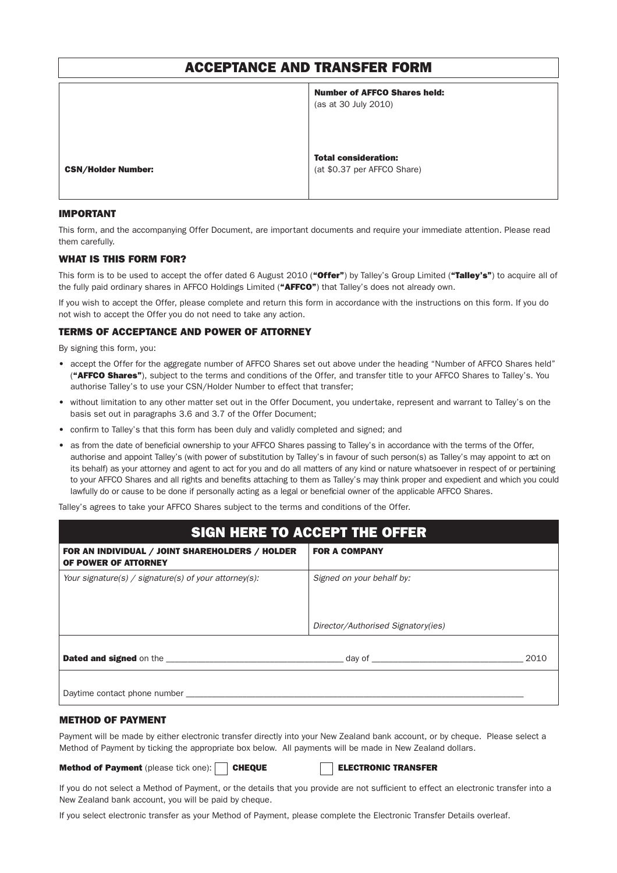# ACCEPTANCE AND TRANSFER FORM

|                           | <b>Number of AFFCO Shares held:</b><br>(as at 30 July 2010) |
|---------------------------|-------------------------------------------------------------|
| <b>CSN/Holder Number:</b> | <b>Total consideration:</b><br>(at \$0.37 per AFFCO Share)  |

#### IMPORTANT

This form, and the accompanying Offer Document, are important documents and require your immediate attention. Please read them carefully.

#### WHAT IS THIS FORM FOR?

This form is to be used to accept the offer dated 6 August 2010 ("Offer") by Talley's Group Limited ("Talley's") to acquire all of the fully paid ordinary shares in AFFCO Holdings Limited ("AFFCO") that Talley's does not already own.

If you wish to accept the Offer, please complete and return this form in accordance with the instructions on this form. If you do not wish to accept the Offer you do not need to take any action.

### TERMS OF ACCEPTANCE AND POWER OF ATTORNEY

By signing this form, you:

- accept the Offer for the aggregate number of AFFCO Shares set out above under the heading "Number of AFFCO Shares held" ("AFFCO Shares"), subject to the terms and conditions of the Offer, and transfer title to your AFFCO Shares to Talley's. You authorise Talley's to use your CSN/Holder Number to effect that transfer;
- without limitation to any other matter set out in the Offer Document, you undertake, represent and warrant to Talley's on the basis set out in paragraphs 3.6 and 3.7 of the Offer Document;
- confirm to Talley's that this form has been duly and validly completed and signed; and
- as from the date of beneficial ownership to your AFFCO Shares passing to Talley's in accordance with the terms of the Offer, authorise and appoint Talley's (with power of substitution by Talley's in favour of such person(s) as Talley's may appoint to act on its behalf) as your attorney and agent to act for you and do all matters of any kind or nature whatsoever in respect of or pertaining to your AFFCO Shares and all rights and benefits attaching to them as Talley's may think proper and expedient and which you could lawfully do or cause to be done if personally acting as a legal or beneficial owner of the applicable AFFCO Shares.

Talley's agrees to take your AFFCO Shares subject to the terms and conditions of the Offer.

# SIGN HERE TO ACCEPT THE OFFER FOR AN INDIVIDUAL / JOINT SHAREHOLDERS / HOLDER OF POWER OF ATTORNEY FOR A COMPANY Your signature(s) / signature(s) of your attorney(s):  $\vert$  Signed on your behalf by: Director/Authorised Signatory(ies) Dated and signed on the \_\_\_\_\_\_\_\_\_\_\_\_\_\_\_\_\_\_\_\_\_\_\_\_\_\_\_\_\_\_\_\_\_\_\_\_\_\_\_\_\_ day of \_\_\_\_\_\_\_\_\_\_\_\_\_\_\_\_\_\_\_\_\_\_\_\_\_\_\_\_\_\_\_\_\_\_\_ 2010 Daytime contact phone number

#### METHOD OF PAYMENT

Payment will be made by either electronic transfer directly into your New Zealand bank account, or by cheque. Please select a Method of Payment by ticking the appropriate box below. All payments will be made in New Zealand dollars.

#### Method of Payment (please tick one): CHEQUE ELECTRONIC TRANSFER

If you do not select a Method of Payment, or the details that you provide are not sufficient to effect an electronic transfer into a New Zealand bank account, you will be paid by cheque.

If you select electronic transfer as your Method of Payment, please complete the Electronic Transfer Details overleaf.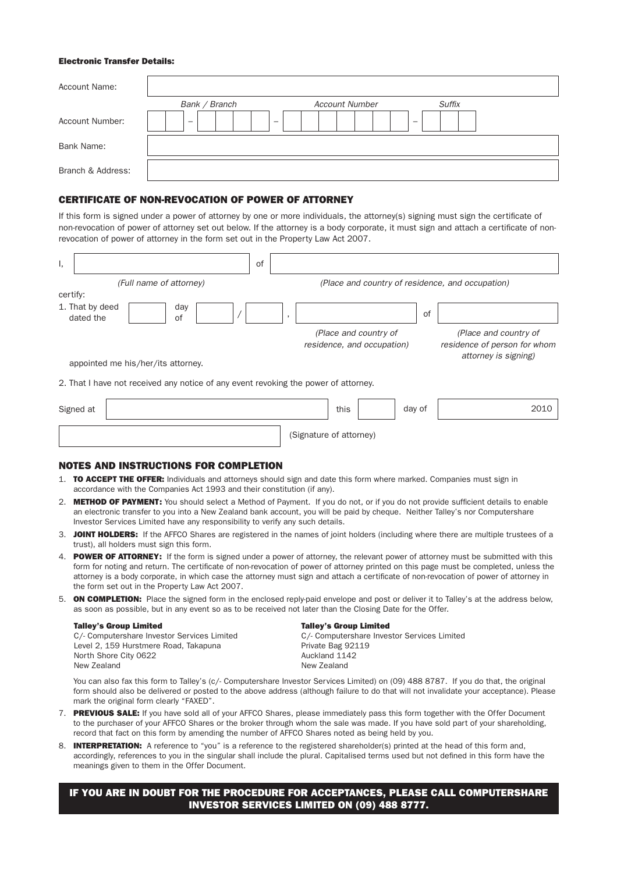#### Electronic Transfer Details:

| <b>Account Name:</b> |                          |                          |               |
|----------------------|--------------------------|--------------------------|---------------|
|                      | Bank / Branch            | <b>Account Number</b>    | <b>Suffix</b> |
| Account Number:      | $\overline{\phantom{0}}$ | $\overline{\phantom{0}}$ |               |
| Bank Name:           |                          |                          |               |
| Branch & Address:    |                          |                          |               |

### CERTIFICATE OF NON-REVOCATION OF POWER OF ATTORNEY

If this form is signed under a power of attorney by one or more individuals, the attorney(s) signing must sign the certificate of non-revocation of power of attorney set out below. If the attorney is a body corporate, it must sign and attach a certificate of nonrevocation of power of attorney in the form set out in the Property Law Act 2007.

| ι,                           |                                                                                     | οf |                                                     |                                                                               |
|------------------------------|-------------------------------------------------------------------------------------|----|-----------------------------------------------------|-------------------------------------------------------------------------------|
|                              | (Full name of attorney)                                                             |    | (Place and country of residence, and occupation)    |                                                                               |
| certify:                     |                                                                                     |    |                                                     |                                                                               |
| 1. That by deed<br>dated the | day<br>0f                                                                           |    | of<br>$\cdot$                                       |                                                                               |
|                              | appointed me his/her/its attorney.                                                  |    | (Place and country of<br>residence, and occupation) | (Place and country of<br>residence of person for whom<br>attorney is signing) |
|                              | 2. That I have not received any notice of any event revoking the power of attorney. |    |                                                     |                                                                               |
| Signed at                    |                                                                                     |    | this<br>day of                                      | 2010                                                                          |
|                              |                                                                                     |    | (Signature of attorney)                             |                                                                               |

#### NOTES AND INSTRUCTIONS FOR COMPLETION

- 1. TO ACCEPT THE OFFER: Individuals and attorneys should sign and date this form where marked. Companies must sign in accordance with the Companies Act 1993 and their constitution (if any).
- 2. METHOD OF PAYMENT: You should select a Method of Payment. If you do not, or if you do not provide sufficient details to enable an electronic transfer to you into a New Zealand bank account, you will be paid by cheque. Neither Talley's nor Computershare Investor Services Limited have any responsibility to verify any such details.
- 3. JOINT HOLDERS: If the AFFCO Shares are registered in the names of joint holders (including where there are multiple trustees of a trust), all holders must sign this form.
- 4. POWER OF ATTORNEY: If the form is signed under a power of attorney, the relevant power of attorney must be submitted with this form for noting and return. The certificate of non-revocation of power of attorney printed on this page must be completed, unless the attorney is a body corporate, in which case the attorney must sign and attach a certificate of non-revocation of power of attorney in the form set out in the Property Law Act 2007.
- 5. ON COMPLETION: Place the signed form in the enclosed reply-paid envelope and post or deliver it to Talley's at the address below, as soon as possible, but in any event so as to be received not later than the Closing Date for the Offer.

#### Talley's Group Limited

C/- Computershare Investor Services Limited Level 2, 159 Hurstmere Road, Takapuna North Shore City 0622 New Zealand

#### Talley's Group Limited

C/- Computershare Investor Services Limited Private Bag 92119 Auckland 1142 New Zealand

 You can also fax this form to Talley's (c/- Computershare Investor Services Limited) on (09) 488 8787. If you do that, the original form should also be delivered or posted to the above address (although failure to do that will not invalidate your acceptance). Please mark the original form clearly "FAXED".

- 7. PREVIOUS SALE: If you have sold all of your AFFCO Shares, please immediately pass this form together with the Offer Document to the purchaser of your AFFCO Shares or the broker through whom the sale was made. If you have sold part of your shareholding, record that fact on this form by amending the number of AFFCO Shares noted as being held by you.
- 8. **INTERPRETATION:** A reference to "you" is a reference to the registered shareholder(s) printed at the head of this form and, accordingly, references to you in the singular shall include the plural. Capitalised terms used but not defined in this form have the meanings given to them in the Offer Document.

## IF YOU ARE IN DOUBT FOR THE PROCEDURE FOR ACCEPTANCES, PLEASE CALL COMPUTERSHARE INVESTOR SERVICES LIMITED ON (09) 488 8777.